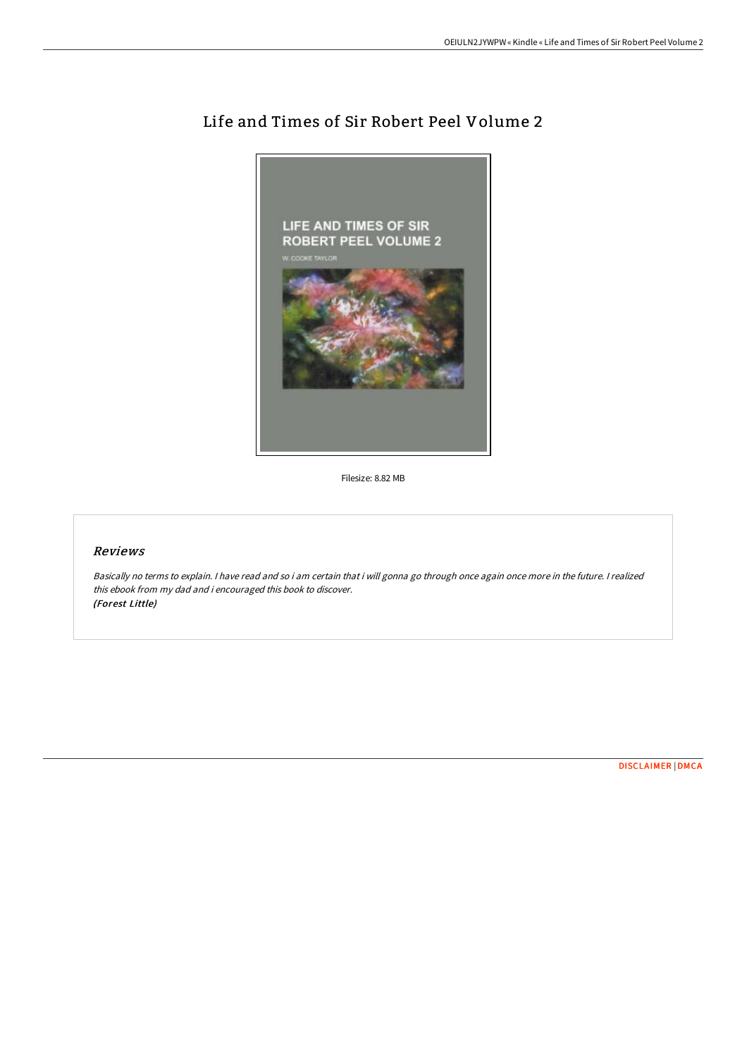

# Life and Times of Sir Robert Peel Volume 2

Filesize: 8.82 MB

## Reviews

Basically no terms to explain. <sup>I</sup> have read and so i am certain that i will gonna go through once again once more in the future. <sup>I</sup> realized this ebook from my dad and i encouraged this book to discover. (Forest Little)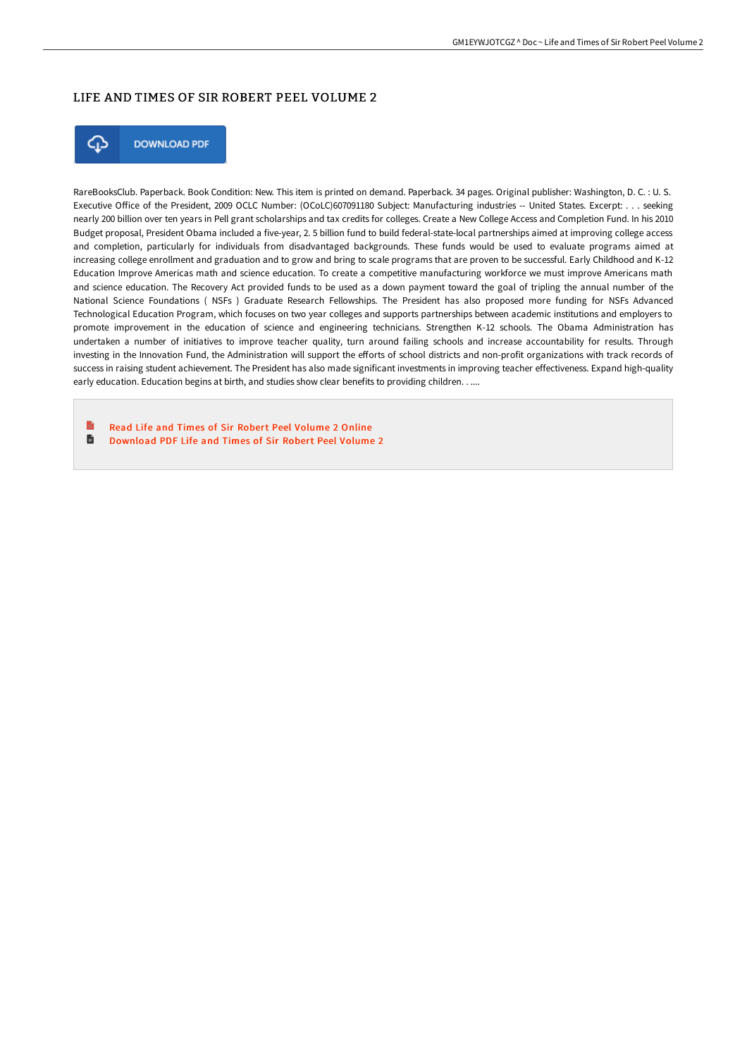### LIFE AND TIMES OF SIR ROBERT PEEL VOLUME 2



**DOWNLOAD PDF** 

RareBooksClub. Paperback. Book Condition: New. This item is printed on demand. Paperback. 34 pages. Original publisher: Washington, D. C. : U. S. Executive Office of the President, 2009 OCLC Number: (OCoLC)607091180 Subject: Manufacturing industries -- United States. Excerpt: . . . seeking nearly 200 billion over ten years in Pell grant scholarships and tax credits for colleges. Create a New College Access and Completion Fund. In his 2010 Budget proposal, President Obama included a five-year, 2. 5 billion fund to build federal-state-local partnerships aimed at improving college access and completion, particularly for individuals from disadvantaged backgrounds. These funds would be used to evaluate programs aimed at increasing college enrollment and graduation and to grow and bring to scale programs that are proven to be successful. Early Childhood and K-12 Education Improve Americas math and science education. To create a competitive manufacturing workforce we must improve Americans math and science education. The Recovery Act provided funds to be used as a down payment toward the goal of tripling the annual number of the National Science Foundations ( NSFs ) Graduate Research Fellowships. The President has also proposed more funding for NSFs Advanced Technological Education Program, which focuses on two year colleges and supports partnerships between academic institutions and employers to promote improvement in the education of science and engineering technicians. Strengthen K-12 schools. The Obama Administration has undertaken a number of initiatives to improve teacher quality, turn around failing schools and increase accountability for results. Through investing in the Innovation Fund, the Administration will support the efforts of school districts and non-profit organizations with track records of success in raising student achievement. The President has also made significant investments in improving teacher effectiveness. Expand high-quality early education. Education begins at birth, and studies show clear benefits to providing children. . ....

Read Life and Times of Sir Robert Peel [Volume](http://bookera.tech/life-and-times-of-sir-robert-peel-volume-2.html) 2 Online h [Download](http://bookera.tech/life-and-times-of-sir-robert-peel-volume-2.html) PDF Life and Times of Sir Robert Peel Volume 2